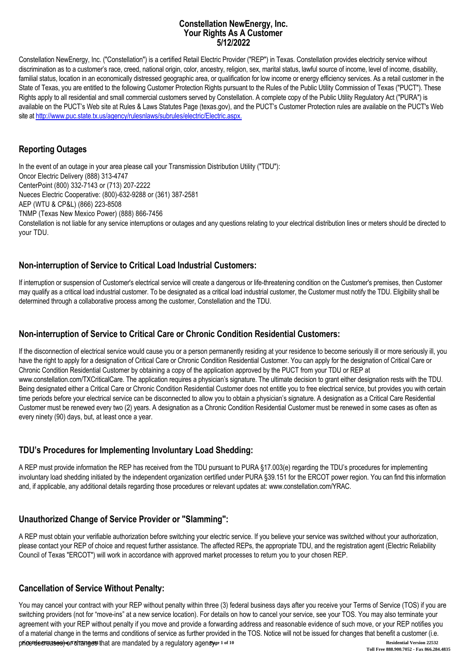#### **Constellation NewEnergy, Inc. Your Rights As A Customer 5/12/2022**

Constellation NewEnergy, Inc. ("Constellation") is a certified Retail Electric Provider ("REP") in Texas. Constellation provides electricity service without discrimination as to a customer's race, creed, national origin, color, ancestry, religion, sex, marital status, lawful source of income, level of income, disability, familial status, location in an economically distressed geographic area, or qualification for low income or energy efficiency services. As a retail customer in the State of Texas, you are entitled to the following Customer Protection Rights pursuant to the Rules of the Public Utility Commission of Texas ("PUCT"). These Rights apply to all residential and small commercial customers served by Constellation. A complete copy of the Public Utility Regulatory Act ("PURA") is available on the PUCT's Web site at Rules & Laws Statutes Page (texas.gov), and the PUCT's Customer Protection rules are available on the PUCT's Web site at [http://www.puc.state.tx.us/agency/rulesnlaws/subrules/electric/Electric.aspx.](http://www.puc.state.tx.us/agency/rulesnlaws/subrules/electric/Electric.aspx)

### **Reporting Outages**

In the event of an outage in your area please call your Transmission Distribution Utility ("TDU"): Oncor Electric Delivery (888) 313-4747 CenterPoint (800) 332-7143 or (713) 207-2222 Nueces Electric Cooperative: (800)-632-9288 or (361) 387-2581 AEP (WTU & CP&L) (866) 223-8508 TNMP (Texas New Mexico Power) (888) 866-7456 Constellation is not liable for any service interruptions or outages and any questions relating to your electrical distribution lines or meters should be directed to your TDU.

# **Non-interruption of Service to Critical Load Industrial Customers:**

If interruption or suspension of Customer's electrical service will create a dangerous or life-threatening condition on the Customer's premises, then Customer may qualify as a critical load industrial customer. To be designated as a critical load industrial customer, the Customer must notify the TDU. Eligibility shall be determined through a collaborative process among the customer, Constellation and the TDU.

# **Non-interruption of Service to Critical Care or Chronic Condition Residential Customers:**

If the disconnection of electrical service would cause you or a person permanently residing at your residence to become seriously ill or more seriously ill, you have the right to apply for a designation of Critical Care or Chronic Condition Residential Customer. You can apply for the designation of Critical Care or Chronic Condition Residential Customer by obtaining a copy of the application approved by the PUCT from your TDU or REP at www.constellation.com/TXCriticalCare. The application requires a physician's signature. The ultimate decision to grant either designation rests with the TDU. Being designated either a Critical Care or Chronic Condition Residential Customer does not entitle you to free electrical service, but provides you with certain time periods before your electrical service can be disconnected to allow you to obtain a physician's signature. A designation as a Critical Care Residential Customer must be renewed every two (2) years. A designation as a Chronic Condition Residential Customer must be renewed in some cases as often as every ninety (90) days, but, at least once a year.

# **TDU's Procedures for Implementing Involuntary Load Shedding:**

A REP must provide information the REP has received from the TDU pursuant to PURA §17.003(e) regarding the TDU's procedures for implementing involuntary load shedding initiated by the independent organization certified under PURA §39.151 for the ERCOT power region. You can find this information and, if applicable, any additional details regarding those procedures or relevant updates at: www.constellation.com/YRAC.

# **Unauthorized Change of Service Provider or "Slamming":**

A REP must obtain your verifiable authorization before switching your electric service. If you believe your service was switched without your authorization, please contact your REP of choice and request further assistance. The affected REPs, the appropriate TDU, and the registration agent (Electric Reliability Council of Texas "ERCOT") will work in accordance with approved market processes to return you to your chosen REP.

# **Cancellation of Service Without Penalty:**

You may cancel your contract with your REP without penalty within three (3) federal business days after you receive your Terms of Service (TOS) if you are switching providers (not for "move-ins" at a new service location). For details on how to cancel your service, see your TOS. You may also terminate your agreement with your REP without penalty if you move and provide a forwarding address and reasonable evidence of such move, or your REP notifies you of a material change in the terms and conditions of service as further provided in the TOS. Notice will not be issued for changes that benefit a customer (i.e. **price decreases) or changes that are mandated by a regulatory agency. If and the state of 10 Residential Version 22532 Toll Free 888.900.7052 - Fax 866.284.4835**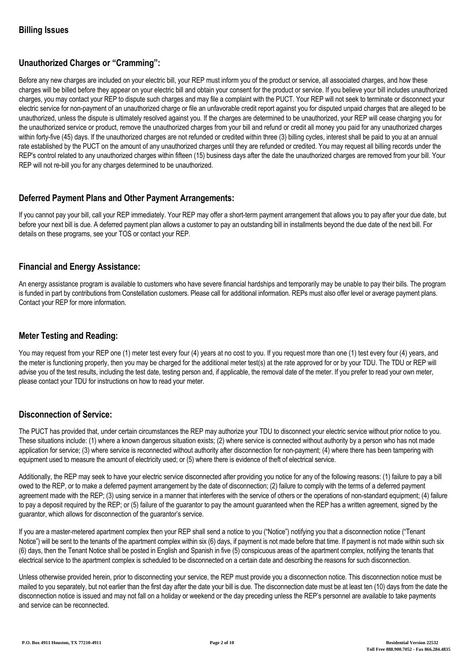# **Unauthorized Charges or "Cramming":**

Before any new charges are included on your electric bill, your REP must inform you of the product or service, all associated charges, and how these charges will be billed before they appear on your electric bill and obtain your consent for the product or service. If you believe your bill includes unauthorized charges, you may contact your REP to dispute such charges and may file a complaint with the PUCT. Your REP will not seek to terminate or disconnect your electric service for non-payment of an unauthorized charge or file an unfavorable credit report against you for disputed unpaid charges that are alleged to be unauthorized, unless the dispute is ultimately resolved against you. If the charges are determined to be unauthorized, your REP will cease charging you for the unauthorized service or product, remove the unauthorized charges from your bill and refund or credit all money you paid for any unauthorized charges within forty-five (45) days. If the unauthorized charges are not refunded or credited within three (3) billing cycles, interest shall be paid to you at an annual rate established by the PUCT on the amount of any unauthorized charges until they are refunded or credited. You may request all billing records under the REP's control related to any unauthorized charges within fifteen (15) business days after the date the unauthorized charges are removed from your bill. Your REP will not re-bill you for any charges determined to be unauthorized.

# **Deferred Payment Plans and Other Payment Arrangements:**

If you cannot pay your bill, call your REP immediately. Your REP may offer a short-term payment arrangement that allows you to pay after your due date, but before your next bill is due. A deferred payment plan allows a customer to pay an outstanding bill in installments beyond the due date of the next bill. For details on these programs, see your TOS or contact your REP.

### **Financial and Energy Assistance:**

An energy assistance program is available to customers who have severe financial hardships and temporarily may be unable to pay their bills. The program is funded in part by contributions from Constellation customers. Please call for additional information. REPs must also offer level or average payment plans. Contact your REP for more information.

# **Meter Testing and Reading:**

You may request from your REP one (1) meter test every four (4) years at no cost to you. If you request more than one (1) test every four (4) years, and the meter is functioning properly, then you may be charged for the additional meter test(s) at the rate approved for or by your TDU. The TDU or REP will advise you of the test results, including the test date, testing person and, if applicable, the removal date of the meter. If you prefer to read your own meter, please contact your TDU for instructions on how to read your meter.

#### **Disconnection of Service:**

The PUCT has provided that, under certain circumstances the REP may authorize your TDU to disconnect your electric service without prior notice to you. These situations include: (1) where a known dangerous situation exists; (2) where service is connected without authority by a person who has not made application for service; (3) where service is reconnected without authority after disconnection for non-payment; (4) where there has been tampering with equipment used to measure the amount of electricity used; or (5) where there is evidence of theft of electrical service.

Additionally, the REP may seek to have your electric service disconnected after providing you notice for any of the following reasons: (1) failure to pay a bill owed to the REP, or to make a deferred payment arrangement by the date of disconnection; (2) failure to comply with the terms of a deferred payment agreement made with the REP; (3) using service in a manner that interferes with the service of others or the operations of non-standard equipment; (4) failure to pay a deposit required by the REP; or (5) failure of the guarantor to pay the amount guaranteed when the REP has a written agreement, signed by the guarantor, which allows for disconnection of the guarantor's service.

If you are a master-metered apartment complex then your REP shall send a notice to you ("Notice") notifying you that a disconnection notice ("Tenant Notice") will be sent to the tenants of the apartment complex within six (6) days, if payment is not made before that time. If payment is not made within such six (6) days, then the Tenant Notice shall be posted in English and Spanish in five (5) conspicuous areas of the apartment complex, notifying the tenants that electrical service to the apartment complex is scheduled to be disconnected on a certain date and describing the reasons for such disconnection.

Unless otherwise provided herein, prior to disconnecting your service, the REP must provide you a disconnection notice. This disconnection notice must be mailed to you separately, but not earlier than the first day after the date your bill is due. The disconnection date must be at least ten (10) days from the date the disconnection notice is issued and may not fall on a holiday or weekend or the day preceding unless the REP's personnel are available to take payments and service can be reconnected.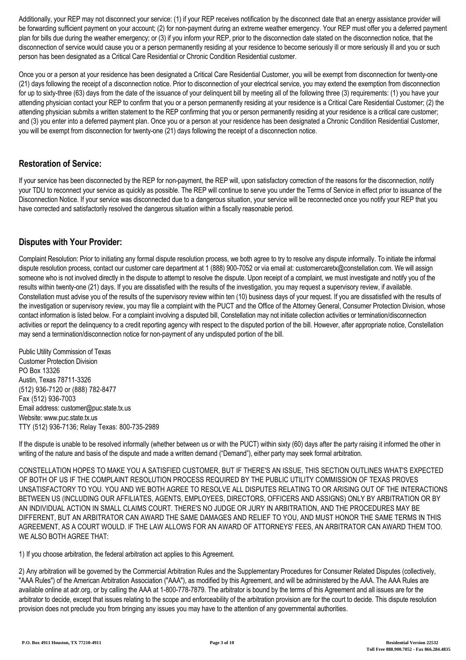Additionally, your REP may not disconnect your service: (1) if your REP receives notification by the disconnect date that an energy assistance provider will be forwarding sufficient payment on your account; (2) for non-payment during an extreme weather emergency. Your REP must offer you a deferred payment plan for bills due during the weather emergency; or (3) if you inform your REP, prior to the disconnection date stated on the disconnection notice, that the disconnection of service would cause you or a person permanently residing at your residence to become seriously ill or more seriously ill and you or such person has been designated as a Critical Care Residential or Chronic Condition Residential customer.

Once you or a person at your residence has been designated a Critical Care Residential Customer, you will be exempt from disconnection for twenty-one (21) days following the receipt of a disconnection notice. Prior to disconnection of your electrical service, you may extend the exemption from disconnection for up to sixty-three (63) days from the date of the issuance of your delinquent bill by meeting all of the following three (3) requirements: (1) you have your attending physician contact your REP to confirm that you or a person permanently residing at your residence is a Critical Care Residential Customer; (2) the attending physician submits a written statement to the REP confirming that you or person permanently residing at your residence is a critical care customer; and (3) you enter into a deferred payment plan. Once you or a person at your residence has been designated a Chronic Condition Residential Customer, you will be exempt from disconnection for twenty-one (21) days following the receipt of a disconnection notice.

### **Restoration of Service:**

If your service has been disconnected by the REP for non-payment, the REP will, upon satisfactory correction of the reasons for the disconnection, notify your TDU to reconnect your service as quickly as possible. The REP will continue to serve you under the Terms of Service in effect prior to issuance of the Disconnection Notice. If your service was disconnected due to a dangerous situation, your service will be reconnected once you notify your REP that you have corrected and satisfactorily resolved the dangerous situation within a fiscally reasonable period.

### **Disputes with Your Provider:**

Complaint Resolution: Prior to initiating any formal dispute resolution process, we both agree to try to resolve any dispute informally. To initiate the informal dispute resolution process, contact our customer care department at 1 (888) 900-7052 or via email at: customercaretx@constellation.com. We will assign someone who is not involved directly in the dispute to attempt to resolve the dispute. Upon receipt of a complaint, we must investigate and notify you of the results within twenty-one (21) days. If you are dissatisfied with the results of the investigation, you may request a supervisory review, if available. Constellation must advise you of the results of the supervisory review within ten (10) business days of your request. If you are dissatisfied with the results of the investigation or supervisory review, you may file a complaint with the PUCT and the Office of the Attorney General, Consumer Protection Division, whose contact information is listed below. For a complaint involving a disputed bill, Constellation may not initiate collection activities or termination/disconnection activities or report the delinquency to a credit reporting agency with respect to the disputed portion of the bill. However, after appropriate notice, Constellation may send a termination/disconnection notice for non-payment of any undisputed portion of the bill.

Public Utility Commission of Texas Customer Protection Division PO Box 13326 Austin, Texas 78711-3326 (512) 936-7120 or (888) 782-8477 Fax (512) 936-7003 Email address: customer@puc.state.tx.us Website: www.puc.state.tx.us TTY (512) 936-7136; Relay Texas: 800-735-2989

If the dispute is unable to be resolved informally (whether between us or with the PUCT) within sixty (60) days after the party raising it informed the other in writing of the nature and basis of the dispute and made a written demand ("Demand"), either party may seek formal arbitration.

CONSTELLATION HOPES TO MAKE YOU A SATISFIED CUSTOMER, BUT IF THERE'S AN ISSUE, THIS SECTION OUTLINES WHAT'S EXPECTED OF BOTH OF US IF THE COMPLAINT RESOLUTION PROCESS REQUIRED BY THE PUBLIC UTILITY COMMISSION OF TEXAS PROVES UNSATISFACTORY TO YOU. YOU AND WE BOTH AGREE TO RESOLVE ALL DISPUTES RELATING TO OR ARISING OUT OF THE INTERACTIONS BETWEEN US (INCLUDING OUR AFFILIATES, AGENTS, EMPLOYEES, DIRECTORS, OFFICERS AND ASSIGNS) ONLY BY ARBITRATION OR BY AN INDIVIDUAL ACTION IN SMALL CLAIMS COURT. THERE'S NO JUDGE OR JURY IN ARBITRATION, AND THE PROCEDURES MAY BE DIFFERENT, BUT AN ARBITRATOR CAN AWARD THE SAME DAMAGES AND RELIEF TO YOU, AND MUST HONOR THE SAME TERMS IN THIS AGREEMENT, AS A COURT WOULD. IF THE LAW ALLOWS FOR AN AWARD OF ATTORNEYS' FEES, AN ARBITRATOR CAN AWARD THEM TOO. WE ALSO BOTH AGREE THAT:

1) If you choose arbitration, the federal arbitration act applies to this Agreement.

2) Any arbitration will be governed by the Commercial Arbitration Rules and the Supplementary Procedures for Consumer Related Disputes (collectively, "AAA Rules") of the American Arbitration Association ("AAA"), as modified by this Agreement, and will be administered by the AAA. The AAA Rules are available online at adr.org, or by calling the AAA at 1-800-778-7879. The arbitrator is bound by the terms of this Agreement and all issues are for the arbitrator to decide, except that issues relating to the scope and enforceability of the arbitration provision are for the court to decide. This dispute resolution provision does not preclude you from bringing any issues you may have to the attention of any governmental authorities.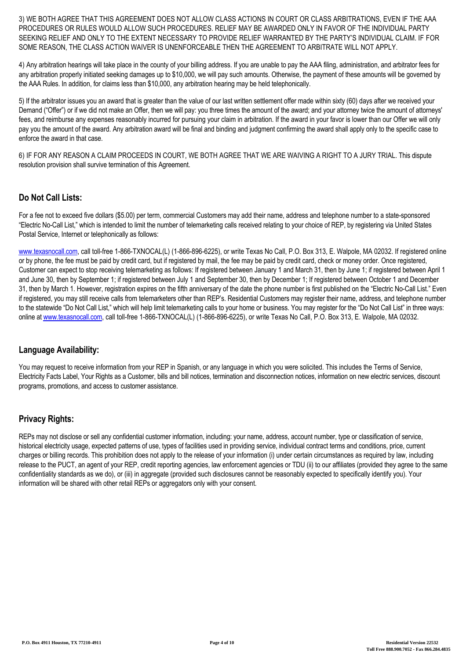3) WE BOTH AGREE THAT THIS AGREEMENT DOES NOT ALLOW CLASS ACTIONS IN COURT OR CLASS ARBITRATIONS, EVEN IF THE AAA PROCEDURES OR RULES WOULD ALLOW SUCH PROCEDURES. RELIEF MAY BE AWARDED ONLY IN FAVOR OF THE INDIVIDUAL PARTY SEEKING RELIEF AND ONLY TO THE EXTENT NECESSARY TO PROVIDE RELIEF WARRANTED BY THE PARTY'S INDIVIDUAL CLAIM. IF FOR SOME REASON, THE CLASS ACTION WAIVER IS UNENFORCEABLE THEN THE AGREEMENT TO ARBITRATE WILL NOT APPLY.

4) Any arbitration hearings will take place in the county of your billing address. If you are unable to pay the AAA filing, administration, and arbitrator fees for any arbitration properly initiated seeking damages up to \$10,000, we will pay such amounts. Otherwise, the payment of these amounts will be governed by the AAA Rules. In addition, for claims less than \$10,000, any arbitration hearing may be held telephonically.

5) If the arbitrator issues you an award that is greater than the value of our last written settlement offer made within sixty (60) days after we received your Demand ("Offer") or if we did not make an Offer, then we will pay: you three times the amount of the award; and your attorney twice the amount of attorneys' fees, and reimburse any expenses reasonably incurred for pursuing your claim in arbitration. If the award in your favor is lower than our Offer we will only pay you the amount of the award. Any arbitration award will be final and binding and judgment confirming the award shall apply only to the specific case to enforce the award in that case.

6) IF FOR ANY REASON A CLAIM PROCEEDS IN COURT, WE BOTH AGREE THAT WE ARE WAIVING A RIGHT TO A JURY TRIAL. This dispute resolution provision shall survive termination of this Agreement.

### **Do Not Call Lists:**

For a fee not to exceed five dollars (\$5.00) per term, commercial Customers may add their name, address and telephone number to a state-sponsored "Electric No-Call List," which is intended to limit the number of telemarketing calls received relating to your choice of REP, by registering via United States Postal Service, Internet or telephonically as follows:

[www.texasnocall.com](http://www.texasnocall.com), call toll-free 1-866-TXNOCAL(L) (1-866-896-6225), or write Texas No Call, P.O. Box 313, E. Walpole, MA 02032. If registered online or by phone, the fee must be paid by credit card, but if registered by mail, the fee may be paid by credit card, check or money order. Once registered, Customer can expect to stop receiving telemarketing as follows: If registered between January 1 and March 31, then by June 1; if registered between April 1 and June 30, then by September 1; if registered between July 1 and September 30, then by December 1; If registered between October 1 and December 31, then by March 1. However, registration expires on the fifth anniversary of the date the phone number is first published on the "Electric No-Call List." Even if registered, you may still receive calls from telemarketers other than REP's. Residential Customers may register their name, address, and telephone number to the statewide "Do Not Call List," which will help limit telemarketing calls to your home or business. You may register for the "Do Not Call List" in three ways: online at [www.texasnocall.com](http://www.texasnocall.com), call toll-free 1-866-TXNOCAL(L) (1-866-896-6225), or write Texas No Call, P.O. Box 313, E. Walpole, MA 02032.

#### **Language Availability:**

You may request to receive information from your REP in Spanish, or any language in which you were solicited. This includes the Terms of Service, Electricity Facts Label, Your Rights as a Customer, bills and bill notices, termination and disconnection notices, information on new electric services, discount programs, promotions, and access to customer assistance.

# **Privacy Rights:**

REPs may not disclose or sell any confidential customer information, including: your name, address, account number, type or classification of service, historical electricity usage, expected patterns of use, types of facilities used in providing service, individual contract terms and conditions, price, current charges or billing records. This prohibition does not apply to the release of your information (i) under certain circumstances as required by law, including release to the PUCT, an agent of your REP, credit reporting agencies, law enforcement agencies or TDU (ii) to our affiliates (provided they agree to the same confidentiality standards as we do), or (iii) in aggregate (provided such disclosures cannot be reasonably expected to specifically identify you). Your information will be shared with other retail REPs or aggregators only with your consent.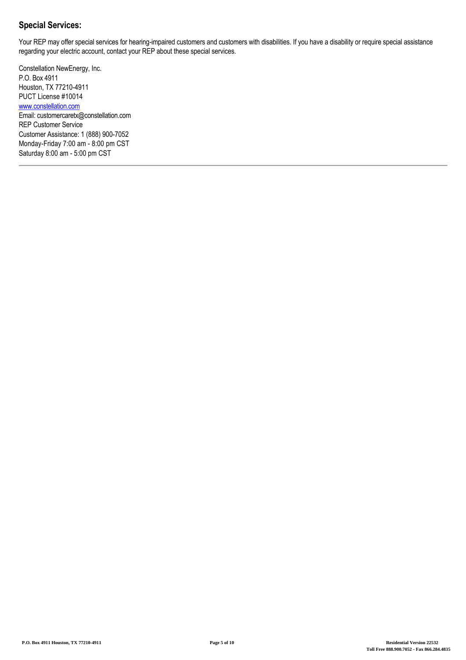# **Special Services:**

Your REP may offer special services for hearing-impaired customers and customers with disabilities. If you have a disability or require special assistance regarding your electric account, contact your REP about these special services.

Constellation NewEnergy, Inc. P.O. Box 4911 Houston, TX 77210-4911 PUCT License #10014 [www.constellation.com](http://www.constellation.com) Email: customercaretx@constellation.com REP Customer Service Customer Assistance: 1 (888) 900-7052 Monday-Friday 7:00 am - 8:00 pm CST Saturday 8:00 am - 5:00 pm CST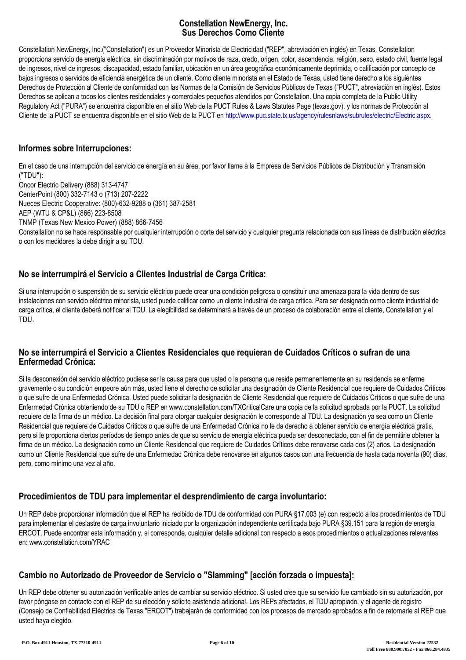### **Constellation NewEnergy, Inc. Sus Derechos Como Cliente**

Constellation NewEnergy, Inc.("Constellation") es un Proveedor Minorista de Electricidad ("REP", abreviación en inglés) en Texas. Constellation proporciona servicio de energía eléctrica, sin discriminación por motivos de raza, credo, origen, color, ascendencia, religión, sexo, estado civil, fuente legal de ingresos, nivel de ingresos, discapacidad, estado familiar, ubicación en un área geográfica económicamente deprimida, o calificación por concepto de bajos ingresos o servicios de eficiencia energética de un cliente. Como cliente minorista en el Estado de Texas, usted tiene derecho a los siguientes Derechos de Protección al Cliente de conformidad con las Normas de la Comisión de Servicios Públicos de Texas ("PUCT", abreviación en inglés). Estos Derechos se aplican a todos los clientes residenciales y comerciales pequeños atendidos por Constellation. Una copia completa de la Public Utility Regulatory Act ("PURA") se encuentra disponible en el sitio Web de la PUCT Rules & Laws Statutes Page (texas.gov), y los normas de Protección al Cliente de la PUCT se encuentra disponible en el sitio Web de la PUCT en [http://www.puc.state.tx.us/agency/rulesnlaws/subrules/electric/Electric.aspx.](http://www.puc.state.tx.us/agency/rulesnlaws/subrules/electric/Electric.aspx)

#### **Informes sobre Interrupciones:**

En el caso de una interrupción del servicio de energía en su área, por favor llame a la Empresa de Servicios Públicos de Distribución y Transmisión ("TDU"):

Oncor Electric Delivery (888) 313-4747 CenterPoint (800) 332-7143 o (713) 207-2222

Nueces Electric Cooperative: (800)-632-9288 o (361) 387-2581

AEP (WTU & CP&L) (866) 223-8508

TNMP (Texas New Mexico Power) (888) 866-7456

Constellation no se hace responsable por cualquier interrupción o corte del servicio y cualquier pregunta relacionada con sus líneas de distribución eléctrica o con los medidores la debe dirigir a su TDU.

# **No se interrumpirá el Servicio a Clientes Industrial de Carga Crítica:**

Si una interrupción o suspensión de su servicio eléctrico puede crear una condición peligrosa o constituir una amenaza para la vida dentro de sus instalaciones con servicio eléctrico minorista, usted puede calificar como un cliente industrial de carga crítica. Para ser designado como cliente industrial de carga crítica, el cliente deberá notificar al TDU. La elegibilidad se determinará a través de un proceso de colaboración entre el cliente, Constellation y el TDU.

#### **No se interrumpirá el Servicio a Clientes Residenciales que requieran de Cuidados Críticos o sufran de una Enfermedad Crónica:**

Si la desconexión del servicio eléctrico pudiese ser la causa para que usted o la persona que reside permanentemente en su residencia se enferme gravemente o su condición empeore aún más, usted tiene el derecho de solicitar una designación de Cliente Residencial que requiere de Cuidados Críticos o que sufre de una Enfermedad Crónica. Usted puede solicitar la designación de Cliente Residencial que requiere de Cuidados Críticos o que sufre de una Enfermedad Crónica obteniendo de su TDU o REP en www.constellation.com/TXCriticalCare una copia de la solicitud aprobada por la PUCT. La solicitud requiere de la firma de un médico. La decisión final para otorgar cualquier designación le corresponde al TDU. La designación ya sea como un Cliente Residencial que requiere de Cuidados Críticos o que sufre de una Enfermedad Crónica no le da derecho a obtener servicio de energía eléctrica gratis, pero sí le proporciona ciertos períodos de tiempo antes de que su servicio de energía eléctrica pueda ser desconectado, con el fin de permitirle obtener la firma de un médico. La designación como un Cliente Residencial que requiere de Cuidados Críticos debe renovarse cada dos (2) años. La designación como un Cliente Residencial que sufre de una Enfermedad Crónica debe renovarse en algunos casos con una frecuencia de hasta cada noventa (90) días, pero, como mínimo una vez al año.

# **Procedimientos de TDU para implementar el desprendimiento de carga involuntario:**

Un REP debe proporcionar información que el REP ha recibido de TDU de conformidad con PURA §17.003 (e) con respecto a los procedimientos de TDU para implementar el deslastre de carga involuntario iniciado por la organización independiente certificada bajo PURA §39.151 para la región de energía ERCOT. Puede encontrar esta información y, si corresponde, cualquier detalle adicional con respecto a esos procedimientos o actualizaciones relevantes en: www.constellation.com/YRAC

# **Cambio no Autorizado de Proveedor de Servicio o "Slamming" [acción forzada o impuesta]:**

Un REP debe obtener su autorización verificable antes de cambiar su servicio eléctrico. Si usted cree que su servicio fue cambiado sin su autorización, por favor póngase en contacto con el REP de su elección y solicite asistencia adicional. Los REPs afectados, el TDU apropiado, y el agente de registro (Consejo de Confiabilidad Eléctrica de Texas "ERCOT") trabajarán de conformidad con los procesos de mercado aprobados a fin de retornarle al REP que usted haya elegido.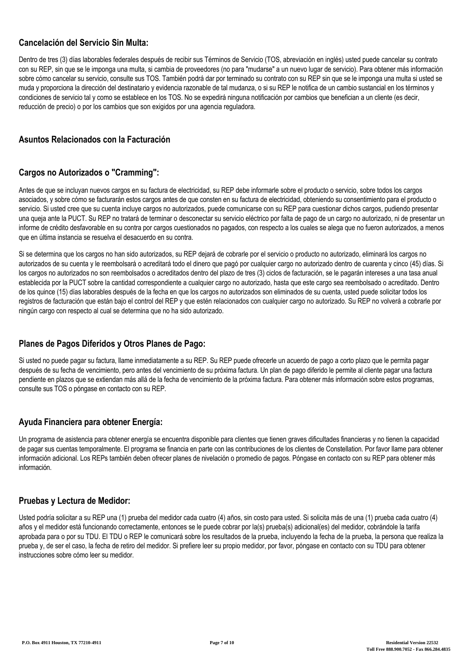# **Cancelación del Servicio Sin Multa:**

Dentro de tres (3) días laborables federales después de recibir sus Términos de Servicio (TOS, abreviación en inglés) usted puede cancelar su contrato con su REP, sin que se le imponga una multa, si cambia de proveedores (no para "mudarse" a un nuevo lugar de servicio). Para obtener más información sobre cómo cancelar su servicio, consulte sus TOS. También podrá dar por terminado su contrato con su REP sin que se le imponga una multa si usted se muda y proporciona la dirección del destinatario y evidencia razonable de tal mudanza, o si su REP le notifica de un cambio sustancial en los términos y condiciones de servicio tal y como se establece en los TOS. No se expedirá ninguna notificación por cambios que benefician a un cliente (es decir, reducción de precio) o por los cambios que son exigidos por una agencia reguladora.

#### **Asuntos Relacionados con la Facturación**

### **Cargos no Autorizados o "Cramming":**

Antes de que se incluyan nuevos cargos en su factura de electricidad, su REP debe informarle sobre el producto o servicio, sobre todos los cargos asociados, y sobre cómo se facturarán estos cargos antes de que consten en su factura de electricidad, obteniendo su consentimiento para el producto o servicio. Si usted cree que su cuenta incluye cargos no autorizados, puede comunicarse con su REP para cuestionar dichos cargos, pudiendo presentar una queja ante la PUCT. Su REP no tratará de terminar o desconectar su servicio eléctrico por falta de pago de un cargo no autorizado, ni de presentar un informe de crédito desfavorable en su contra por cargos cuestionados no pagados, con respecto a los cuales se alega que no fueron autorizados, a menos que en última instancia se resuelva el desacuerdo en su contra.

Si se determina que los cargos no han sido autorizados, su REP dejará de cobrarle por el servicio o producto no autorizado, eliminará los cargos no autorizados de su cuenta y le reembolsará o acreditará todo el dinero que pagó por cualquier cargo no autorizado dentro de cuarenta y cinco (45) días. Si los cargos no autorizados no son reembolsados o acreditados dentro del plazo de tres (3) ciclos de facturación, se le pagarán intereses a una tasa anual establecida por la PUCT sobre la cantidad correspondiente a cualquier cargo no autorizado, hasta que este cargo sea reembolsado o acreditado. Dentro de los quince (15) días laborables después de la fecha en que los cargos no autorizados son eliminados de su cuenta, usted puede solicitar todos los registros de facturación que están bajo el control del REP y que estén relacionados con cualquier cargo no autorizado. Su REP no volverá a cobrarle por ningún cargo con respecto al cual se determina que no ha sido autorizado.

#### **Planes de Pagos Diferidos y Otros Planes de Pago:**

Si usted no puede pagar su factura, llame inmediatamente a su REP. Su REP puede ofrecerle un acuerdo de pago a corto plazo que le permita pagar después de su fecha de vencimiento, pero antes del vencimiento de su próxima factura. Un plan de pago diferido le permite al cliente pagar una factura pendiente en plazos que se extiendan más allá de la fecha de vencimiento de la próxima factura. Para obtener más información sobre estos programas, consulte sus TOS o póngase en contacto con su REP.

# **Ayuda Financiera para obtener Energía:**

Un programa de asistencia para obtener energía se encuentra disponible para clientes que tienen graves dificultades financieras y no tienen la capacidad de pagar sus cuentas temporalmente. El programa se financia en parte con las contribuciones de los clientes de Constellation. Por favor llame para obtener información adicional. Los REPs también deben ofrecer planes de nivelación o promedio de pagos. Póngase en contacto con su REP para obtener más información.

#### **Pruebas y Lectura de Medidor:**

Usted podría solicitar a su REP una (1) prueba del medidor cada cuatro (4) años, sin costo para usted. Si solicita más de una (1) prueba cada cuatro (4) años y el medidor está funcionando correctamente, entonces se le puede cobrar por la(s) prueba(s) adicional(es) del medidor, cobrándole la tarifa aprobada para o por su TDU. El TDU o REP le comunicará sobre los resultados de la prueba, incluyendo la fecha de la prueba, la persona que realiza la prueba y, de ser el caso, la fecha de retiro del medidor. Si prefiere leer su propio medidor, por favor, póngase en contacto con su TDU para obtener instrucciones sobre cómo leer su medidor.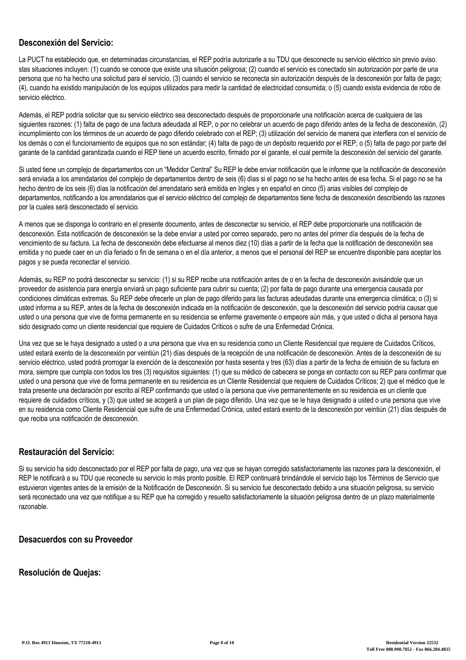### **Desconexión del Servicio:**

La PUCT ha establecido que, en determinadas circunstancias, el REP podría autorizarle a su TDU que desconecte su servicio eléctrico sin previo aviso. stas situaciones incluyen: (1) cuando se conoce que existe una situación peligrosa; (2) cuando el servicio es conectado sin autorización por parte de una persona que no ha hecho una solicitud para el servicio, (3) cuando el servicio se reconecta sin autorización después de la desconexión por falta de pago; (4), cuando ha existido manipulación de los equipos utilizados para medir la cantidad de electricidad consumida; o (5) cuando exista evidencia de robo de servicio eléctrico.

Además, el REP podría solicitar que su servicio eléctrico sea desconectado después de proporcionarle una notificación acerca de cualquiera de las siguientes razones: (1) falta de pago de una factura adeudada al REP, o por no celebrar un acuerdo de pago diferido antes de la fecha de desconexión, (2) incumplimiento con los términos de un acuerdo de pago diferido celebrado con el REP; (3) utilización del servicio de manera que interfiera con el servicio de los demás o con el funcionamiento de equipos que no son estándar; (4) falta de pago de un depósito requerido por el REP; o (5) falta de pago por parte del garante de la cantidad garantizada cuando el REP tiene un acuerdo escrito, firmado por el garante, el cual permite la desconexión del servicio del garante.

Si usted tiene un complejo de departamentos con un "Medidor Central" Su REP le debe enviar notificación que le informe que la notificación de desconexión será enviada a los arrendatarios del complejo de departamentos dentro de seis (6) días si el pago no se ha hecho antes de esa fecha. Si el pago no se ha hecho dentro de los seis (6) días la notificación del arrendatario será emitida en Ingles y en español en cinco (5) arias visibles del complejo de departamentos, notificando a los arrendatarios que el servicio eléctrico del complejo de departamentos tiene fecha de desconexión describiendo las razones por la cuales será desconectado el servicio.

A menos que se disponga lo contrario en el presente documento, antes de desconectar su servicio, el REP debe proporcionarle una notificación de desconexión. Esta notificación de desconexión se la debe enviar a usted por correo separado, pero no antes del primer día después de la fecha de vencimiento de su factura. La fecha de desconexión debe efectuarse al menos diez (10) días a partir de la fecha que la notificación de desconexión sea emitida y no puede caer en un día feriado o fin de semana o en el día anterior, a menos que el personal del REP se encuentre disponible para aceptar los pagos y se pueda reconectar el servicio.

Además, su REP no podrá desconectar su servicio: (1) si su REP recibe una notificación antes de o en la fecha de desconexión avisándole que un proveedor de asistencia para energía enviará un pago suficiente para cubrir su cuenta; (2) por falta de pago durante una emergencia causada por condiciones climáticas extremas. Su REP debe ofrecerle un plan de pago diferido para las facturas adeudadas durante una emergencia climática; o (3) si usted informa a su REP, antes de la fecha de desconexión indicada en la notificación de desconexión, que la desconexión del servicio podría causar que usted o una persona que vive de forma permanente en su residencia se enferme gravemente o empeore aún más, y que usted o dicha al persona haya sido designado como un cliente residencial que requiere de Cuidados Críticos o sufre de una Enfermedad Crónica.

Una vez que se le haya designado a usted o a una persona que viva en su residencia como un Cliente Residencial que requiere de Cuidados Críticos, usted estará exento de la desconexión por veintiún (21) días después de la recepción de una notificación de desconexión. Antes de la desconexión de su servicio eléctrico, usted podrá prorrogar la exención de la desconexión por hasta sesenta y tres (63) días a partir de la fecha de emisión de su factura en mora, siempre que cumpla con todos los tres (3) requisitos siguientes: (1) que su médico de cabecera se ponga en contacto con su REP para confirmar que usted o una persona que vive de forma permanente en su residencia es un Cliente Residencial que requiere de Cuidados Críticos; 2) que el médico que le trata presente una declaración por escrito al REP confirmando que usted o la persona que vive permanentemente en su residencia es un cliente que requiere de cuidados críticos, y (3) que usted se acogerá a un plan de pago diferido. Una vez que se le haya designado a usted o una persona que vive en su residencia como Cliente Residencial que sufre de una Enfermedad Crónica, usted estará exento de la desconexión por veintiún (21) días después de que reciba una notificación de desconexión.

#### **Restauración del Servicio:**

Si su servicio ha sido desconectado por el REP por falta de pago, una vez que se hayan corregido satisfactoriamente las razones para la desconexión, el REP le notificará a su TDU que reconecte su servicio lo más pronto posible. El REP continuará brindándole el servicio bajo los Términos de Servicio que estuvieron vigentes antes de la emisión de la Notificación de Desconexión. Si su servicio fue desconectado debido a una situación peligrosa, su servicio será reconectado una vez que notifique a su REP que ha corregido y resuelto satisfactoriamente la situación peligrosa dentro de un plazo materialmente razonable.

#### **Desacuerdos con su Proveedor**

#### **Resolución de Quejas:**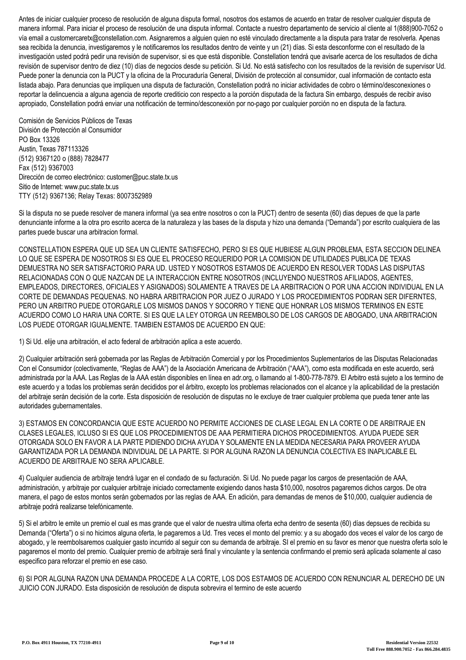Antes de iniciar cualquier proceso de resolución de alguna disputa formal, nosotros dos estamos de acuerdo en tratar de resolver cualquier disputa de manera informal. Para iniciar el proceso de resolución de una disputa informal. Contacte a nuestro departamento de servicio al cliente al 1(888)900-7052 o vía email a customercaretx@constellation.com. Asignaremos a alguien quien no esté vinculado directamente a la disputa para tratar de resolverla. Apenas sea recibida la denuncia, investigaremos y le notificaremos los resultados dentro de veinte y un (21) días. Si esta desconforme con el resultado de la investigación usted podrá pedir una revisión de supervisor, si es que está disponible. Constellation tendrá que avisarle acerca de los resultados de dicha revisión de supervisor dentro de diez (10) días de negocios desde su petición. Si Ud. No está satisfecho con los resultados de la revisión de supervisor Ud. Puede poner la denuncia con la PUCT y la oficina de la Procuraduría General, División de protección al consumidor, cual información de contacto esta listada abajo. Para denuncias que impliquen una disputa de facturación, Constellation podrá no iniciar actividades de cobro o término/desconexiones o reportar la delincuencia a alguna agencia de reporte crediticio con respecto a la porción disputada de la factura Sin embargo, después de recibir aviso apropiado, Constellation podrá enviar una notificación de termino/desconexión por no-pago por cualquier porción no en disputa de la factura.

Comisión de Servicios Públicos de Texas División de Protección al Consumidor PO Box 13326 Austin, Texas 787113326 (512) 9367120 o (888) 7828477 Fax (512) 9367003 Dirección de correo electrónico: customer@puc.state.tx.us Sitio de Internet: www.puc.state.tx.us TTY (512) 9367136; Relay Texas: 8007352989

Si la disputa no se puede resolver de manera informal (ya sea entre nosotros o con la PUCT) dentro de sesenta (60) dias depues de que la parte denunciante informe a la otra pro escrito acerca de la naturaleza y las bases de la disputa y hizo una demanda ("Demanda") por escrito cualquiera de las partes puede buscar una arbitracion formal.

CONSTELLATION ESPERA QUE UD SEA UN CLIENTE SATISFECHO, PERO SI ES QUE HUBIESE ALGUN PROBLEMA, ESTA SECCION DELINEA LO QUE SE ESPERA DE NOSOTROS SI ES QUE EL PROCESO REQUERIDO POR LA COMISION DE UTILIDADES PUBLICA DE TEXAS DEMUESTRA NO SER SATISFACTORIO PARA UD. USTED Y NOSOTROS ESTAMOS DE ACUERDO EN RESOLVER TODAS LAS DISPUTAS RELACIONADAS CON O QUE NAZCAN DE LA INTERACCION ENTRE NOSOTROS (INCLUYENDO NUESTROS AFILIADOS, AGENTES, EMPLEADOS, DIRECTORES, OFICIALES Y ASIGNADOS) SOLAMENTE A TRAVES DE LA ARBITRACION O POR UNA ACCION INDIVIDUAL EN LA CORTE DE DEMANDAS PEQUENAS. NO HABRA ARBITRACION POR JUEZ O JURADO Y LOS PROCEDIMIENTOS PODRAN SER DIFERNTES, PERO UN ARBITRO PUEDE OTORGARLE LOS MISMOS DANOS Y SOCORRO Y TIENE QUE HONRAR LOS MISMOS TERMINOS EN ESTE ACUERDO COMO LO HARIA UNA CORTE. SI ES QUE LA LEY OTORGA UN REEMBOLSO DE LOS CARGOS DE ABOGADO, UNA ARBITRACION LOS PUEDE OTORGAR IGUALMENTE. TAMBIEN ESTAMOS DE ACUERDO EN QUE:

1) Si Ud. elije una arbitración, el acto federal de arbitración aplica a este acuerdo.

2) Cualquier arbitración será gobernada por las Reglas de Arbitración Comercial y por los Procedimientos Suplementarios de las Disputas Relacionadas Con el Consumidor (colectivamente, "Reglas de AAA") de la Asociación Americana de Arbitración ("AAA"), como esta modificada en este acuerdo, será administrada por la AAA. Las Reglas de la AAA están disponibles en línea en adr.org, o llamando al 1-800-778-7879. El Arbitro está sujeto a los termino de este acuerdo y a todas los problemas serán decididos por el árbitro, excepto los problemas relacionados con el alcance y la aplicabilidad de la prestación del arbitraje serán decisión de la corte. Esta disposición de resolución de disputas no le excluye de traer cualquier problema que pueda tener ante las autoridades gubernamentales.

3) ESTAMOS EN CONCORDANCIA QUE ESTE ACUERDO NO PERMITE ACCIONES DE CLASE LEGAL EN LA CORTE O DE ARBITRAJE EN CLASES LEGALES, ICLUSO SI ES QUE LOS PROCEDIMIENTOS DE AAA PERMITIERA DICHOS PROCEDIMIENTOS. AYUDA PUEDE SER OTORGADA SOLO EN FAVOR A LA PARTE PIDIENDO DICHA AYUDA Y SOLAMENTE EN LA MEDIDA NECESARIA PARA PROVEER AYUDA GARANTIZADA POR LA DEMANDA INDIVIDUAL DE LA PARTE. SI POR ALGUNA RAZON LA DENUNCIA COLECTIVA ES INAPLICABLE EL ACUERDO DE ARBITRAJE NO SERA APLICABLE.

4) Cualquier audiencia de arbitraje tendrá lugar en el condado de su facturación. Si Ud. No puede pagar los cargos de presentación de AAA, administración, y arbitraje por cualquier arbitraje iniciado correctamente exigiendo danos hasta \$10,000, nosotros pagaremos dichos cargos. De otra manera, el pago de estos montos serán gobernados por las reglas de AAA. En adición, para demandas de menos de \$10,000, cualquier audiencia de arbitraje podrá realizarse telefónicamente.

5) Si el arbitro le emite un premio el cual es mas grande que el valor de nuestra ultima oferta echa dentro de sesenta (60) días depsues de recibida su Demanda ("Oferta") o si no hicimos alguna oferta, le pagaremos a Ud. Tres veces el monto del premio: y a su abogado dos veces el valor de los cargo de abogado, y le reembolsaremos cualquier gasto incurrido al seguir con su demanda de arbitraje. SI el premio en su favor es menor que nuestra oferta solo le pagaremos el monto del premio. Cualquier premio de arbitraje será final y vinculante y la sentencia confirmando el premio será aplicada solamente al caso especifico para reforzar el premio en ese caso.

6) SI POR ALGUNA RAZON UNA DEMANDA PROCEDE A LA CORTE, LOS DOS ESTAMOS DE ACUERDO CON RENUNCIAR AL DERECHO DE UN JUICIO CON JURADO. Esta disposición de resolución de disputa sobrevira el termino de este acuerdo